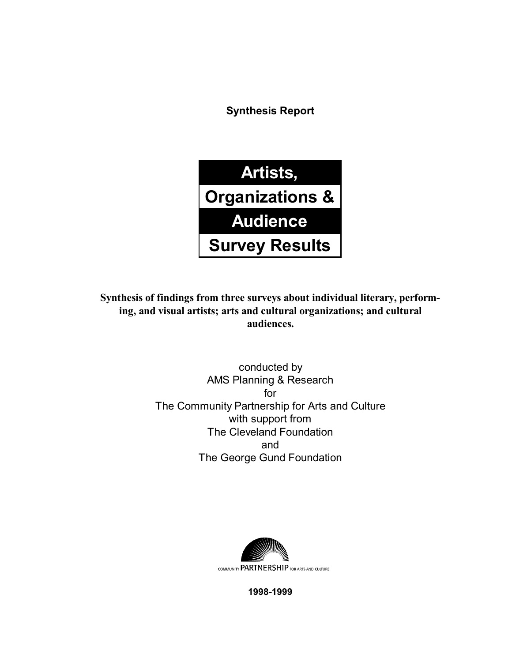**Synthesis Report**



**Synthesis of findings from three surveys about individual literary, performing, and visual artists; arts and cultural organizations; and cultural audiences.**

> conducted by AMS Planning & Research for The Community Partnership for Arts and Culture with support from The Cleveland Foundation and The George Gund Foundation



**1998-1999**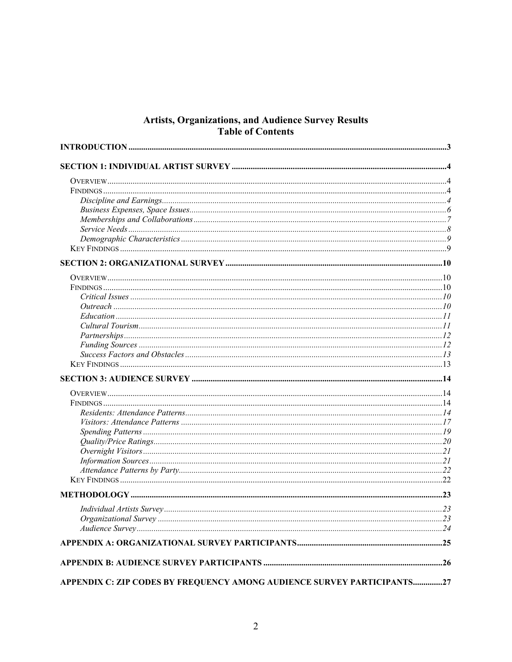# **Artists, Organizations, and Audience Survey Results<br>Table of Contents**

| APPENDIX C: ZIP CODES BY FREQUENCY AMONG AUDIENCE SURVEY PARTICIPANTS27 |  |
|-------------------------------------------------------------------------|--|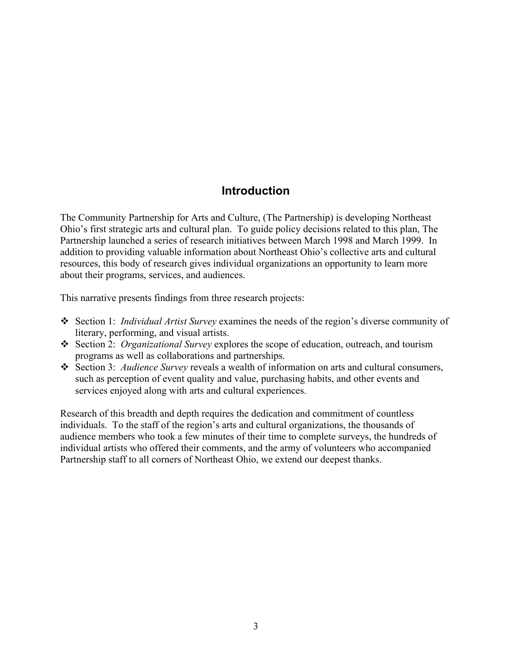#### **Introduction**

The Community Partnership for Arts and Culture, (The Partnership) is developing Northeast Ohio's first strategic arts and cultural plan. To guide policy decisions related to this plan, The Partnership launched a series of research initiatives between March 1998 and March 1999. In addition to providing valuable information about Northeast Ohio's collective arts and cultural resources, this body of research gives individual organizations an opportunity to learn more about their programs, services, and audiences.

This narrative presents findings from three research projects:

- Section 1: *Individual Artist Survey* examines the needs of the region's diverse community of literary, performing, and visual artists.
- Section 2: *Organizational Survey* explores the scope of education, outreach, and tourism programs as well as collaborations and partnerships.
- Section 3: *Audience Survey* reveals a wealth of information on arts and cultural consumers, such as perception of event quality and value, purchasing habits, and other events and services enjoyed along with arts and cultural experiences.

Research of this breadth and depth requires the dedication and commitment of countless individuals. To the staff of the region's arts and cultural organizations, the thousands of audience members who took a few minutes of their time to complete surveys, the hundreds of individual artists who offered their comments, and the army of volunteers who accompanied Partnership staff to all corners of Northeast Ohio, we extend our deepest thanks.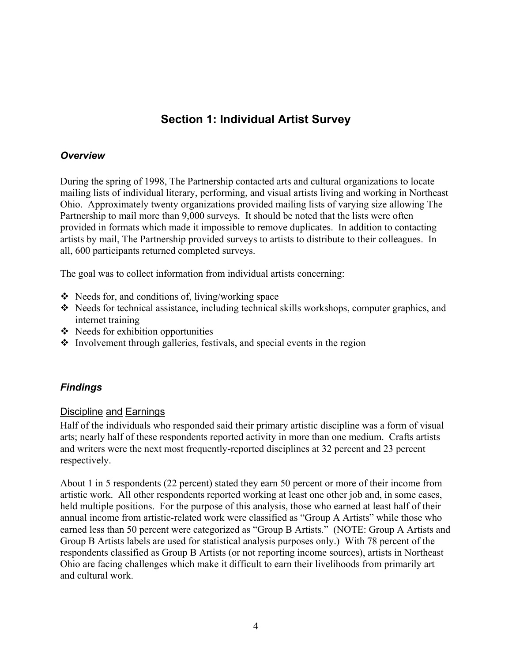# **Section 1: Individual Artist Survey**

#### *Overview*

During the spring of 1998, The Partnership contacted arts and cultural organizations to locate mailing lists of individual literary, performing, and visual artists living and working in Northeast Ohio. Approximately twenty organizations provided mailing lists of varying size allowing The Partnership to mail more than 9,000 surveys. It should be noted that the lists were often provided in formats which made it impossible to remove duplicates. In addition to contacting artists by mail, The Partnership provided surveys to artists to distribute to their colleagues. In all, 600 participants returned completed surveys.

The goal was to collect information from individual artists concerning:

- $\triangleleft$  Needs for, and conditions of, living/working space
- $\triangle$  Needs for technical assistance, including technical skills workshops, computer graphics, and internet training
- $\triangleleft$  Needs for exhibition opportunities
- $\cdot$  Involvement through galleries, festivals, and special events in the region

#### *Findings*

#### Discipline and Earnings

Half of the individuals who responded said their primary artistic discipline was a form of visual arts; nearly half of these respondents reported activity in more than one medium. Crafts artists and writers were the next most frequently-reported disciplines at 32 percent and 23 percent respectively.

About 1 in 5 respondents (22 percent) stated they earn 50 percent or more of their income from artistic work. All other respondents reported working at least one other job and, in some cases, held multiple positions. For the purpose of this analysis, those who earned at least half of their annual income from artistic-related work were classified as "Group A Artists" while those who earned less than 50 percent were categorized as "Group B Artists." (NOTE: Group A Artists and Group B Artists labels are used for statistical analysis purposes only.) With 78 percent of the respondents classified as Group B Artists (or not reporting income sources), artists in Northeast Ohio are facing challenges which make it difficult to earn their livelihoods from primarily art and cultural work.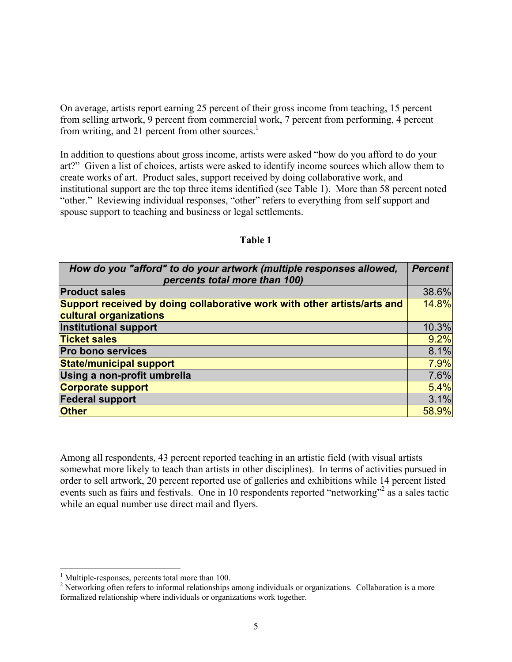On average, artists report earning 25 percent of their gross income from teaching, 15 percent from selling artwork, 9 percent from commercial work, 7 percent from performing, 4 percent from writing, and 21 percent from other sources.<sup>1</sup>

In addition to questions about gross income, artists were asked "how do you afford to do your art?" Given a list of choices, artists were asked to identify income sources which allow them to create works of art. Product sales, support received by doing collaborative work, and institutional support are the top three items identified (see Table 1). More than 58 percent noted "other." Reviewing individual responses, "other" refers to everything from self support and spouse support to teaching and business or legal settlements.

| How do you "afford" to do your artwork (multiple responses allowed,<br>percents total more than 100) | <b>Percent</b> |
|------------------------------------------------------------------------------------------------------|----------------|
| <b>Product sales</b>                                                                                 | 38.6%          |
| Support received by doing collaborative work with other artists/arts and                             | 14.8%          |
| cultural organizations                                                                               |                |
| <b>Institutional support</b>                                                                         | 10.3%          |
| <b>Ticket sales</b>                                                                                  | 9.2%           |
| <b>Pro bono services</b>                                                                             | 8.1%           |
| <b>State/municipal support</b>                                                                       | 7.9%           |
| Using a non-profit umbrella                                                                          | 7.6%           |
| <b>Corporate support</b>                                                                             | 5.4%           |
| <b>Federal support</b>                                                                               | 3.1%           |
| <b>Other</b>                                                                                         | 58.9%          |

#### **Table 1**

Among all respondents, 43 percent reported teaching in an artistic field (with visual artists somewhat more likely to teach than artists in other disciplines). In terms of activities pursued in order to sell artwork, 20 percent reported use of galleries and exhibitions while 14 percent listed events such as fairs and festivals. One in 10 respondents reported "networking"<sup>2</sup> as a sales tactic while an equal number use direct mail and flyers.

1

<sup>&</sup>lt;sup>1</sup> Multiple-responses, percents total more than 100.

 $2$  Networking often refers to informal relationships among individuals or organizations. Collaboration is a more formalized relationship where individuals or organizations work together.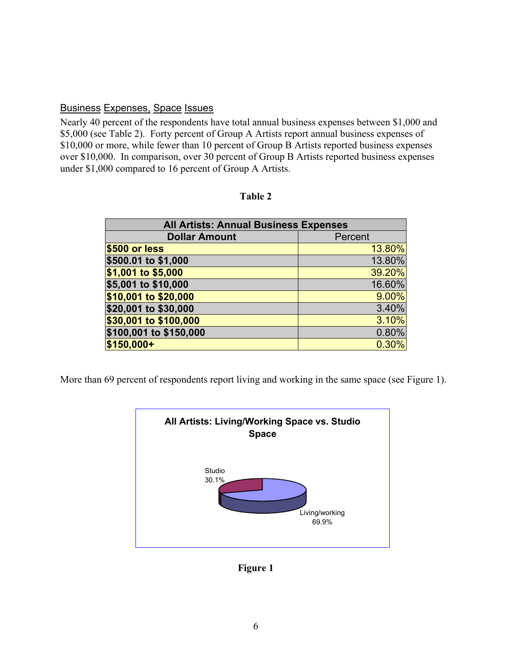#### Business Expenses, Space Issues

Nearly 40 percent of the respondents have total annual business expenses between \$1,000 and \$5,000 (see Table 2). Forty percent of Group A Artists report annual business expenses of \$10,000 or more, while fewer than 10 percent of Group B Artists reported business expenses over \$10,000. In comparison, over 30 percent of Group B Artists reported business expenses under \$1,000 compared to 16 percent of Group A Artists.

| <b>All Artists: Annual Business Expenses</b> |        |  |  |  |
|----------------------------------------------|--------|--|--|--|
| <b>Dollar Amount</b><br>Percent              |        |  |  |  |
| \$500 or less                                | 13.80% |  |  |  |
| \$500.01 to \$1,000                          | 13.80% |  |  |  |
| \$1,001 to \$5,000                           | 39.20% |  |  |  |
| \$5,001 to \$10,000                          | 16.60% |  |  |  |
| \$10,001 to \$20,000                         | 9.00%  |  |  |  |
| \$20,001 to \$30,000                         | 3.40%  |  |  |  |
| \$30,001 to \$100,000                        | 3.10%  |  |  |  |
| \$100,001 to \$150,000                       | 0.80%  |  |  |  |
| \$150,000+                                   | 0.30%  |  |  |  |

**Table 2** 

More than 69 percent of respondents report living and working in the same space (see Figure 1).



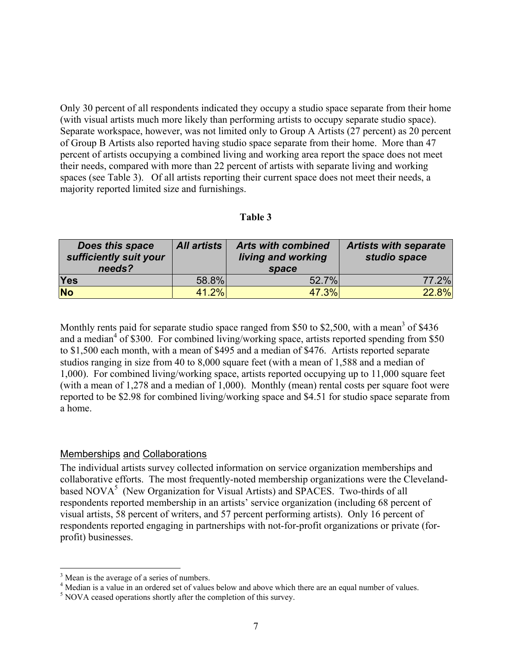Only 30 percent of all respondents indicated they occupy a studio space separate from their home (with visual artists much more likely than performing artists to occupy separate studio space). Separate workspace, however, was not limited only to Group A Artists (27 percent) as 20 percent of Group B Artists also reported having studio space separate from their home. More than 47 percent of artists occupying a combined living and working area report the space does not meet their needs, compared with more than 22 percent of artists with separate living and working spaces (see Table 3). Of all artists reporting their current space does not meet their needs, a majority reported limited size and furnishings.

#### **Table 3**

| Does this space<br>sufficiently suit your<br>needs? | <b>All artists</b> | <b>Arts with combined</b><br>living and working<br>space | <b>Artists with separate</b><br>studio space |
|-----------------------------------------------------|--------------------|----------------------------------------------------------|----------------------------------------------|
| Yes                                                 | 58.8%              | 52.7%                                                    | 77.2%                                        |
| <b>No</b>                                           | 41.2%              | 47.3%                                                    | 22.8%                                        |

Monthly rents paid for separate studio space ranged from \$50 to \$2,500, with a mean<sup>3</sup> of \$436 and a median<sup>4</sup> of \$300. For combined living/working space, artists reported spending from \$50 to \$1,500 each month, with a mean of \$495 and a median of \$476. Artists reported separate studios ranging in size from 40 to 8,000 square feet (with a mean of 1,588 and a median of 1,000). For combined living/working space, artists reported occupying up to 11,000 square feet (with a mean of 1,278 and a median of 1,000). Monthly (mean) rental costs per square foot were reported to be \$2.98 for combined living/working space and \$4.51 for studio space separate from a home.

#### Memberships and Collaborations

The individual artists survey collected information on service organization memberships and collaborative efforts. The most frequently-noted membership organizations were the Clevelandbased NOVA<sup>5</sup> (New Organization for Visual Artists) and SPACES. Two-thirds of all respondents reported membership in an artists' service organization (including 68 percent of visual artists, 58 percent of writers, and 57 percent performing artists). Only 16 percent of respondents reported engaging in partnerships with not-for-profit organizations or private (forprofit) businesses.

1

<sup>&</sup>lt;sup>3</sup> Mean is the average of a series of numbers.

<sup>&</sup>lt;sup>4</sup> Median is a value in an ordered set of values below and above which there are an equal number of values.

 $<sup>5</sup>$  NOVA ceased operations shortly after the completion of this survey.</sup>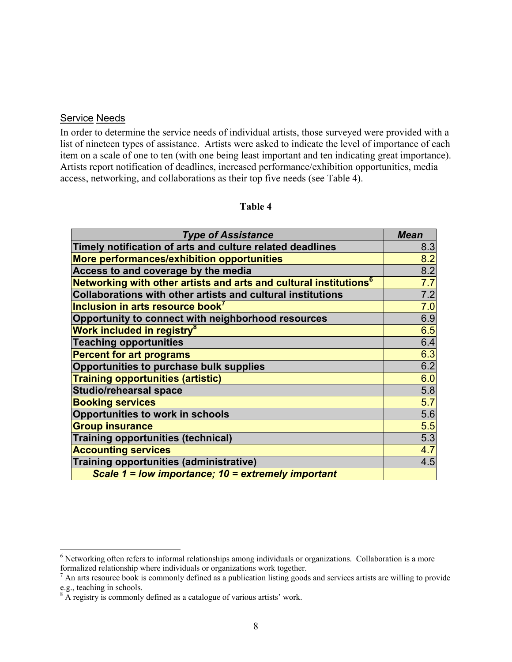#### Service Needs

 $\overline{a}$ 

In order to determine the service needs of individual artists, those surveyed were provided with a list of nineteen types of assistance. Artists were asked to indicate the level of importance of each item on a scale of one to ten (with one being least important and ten indicating great importance). Artists report notification of deadlines, increased performance/exhibition opportunities, media access, networking, and collaborations as their top five needs (see Table 4).

#### **Table 4**

| <b>Type of Assistance</b>                                                     | <b>Mean</b>      |
|-------------------------------------------------------------------------------|------------------|
| Timely notification of arts and culture related deadlines                     | 8.3              |
| More performances/exhibition opportunities                                    | 8.2              |
| Access to and coverage by the media                                           | 8.2              |
| Networking with other artists and arts and cultural institutions <sup>6</sup> | 7.7              |
| Collaborations with other artists and cultural institutions                   | 7.2              |
| Inclusion in arts resource book <sup>7</sup>                                  | 7.0              |
| Opportunity to connect with neighborhood resources                            | 6.9              |
| Work included in registry <sup>8</sup>                                        | 6.5              |
| <b>Teaching opportunities</b>                                                 | 6.4              |
| <b>Percent for art programs</b>                                               | 6.3              |
| Opportunities to purchase bulk supplies                                       | 6.2              |
| <b>Training opportunities (artistic)</b>                                      | 6.0              |
| <b>Studio/rehearsal space</b>                                                 | 5.8              |
| <b>Booking services</b>                                                       | $\overline{5.7}$ |
| Opportunities to work in schools                                              | 5.6              |
| <b>Group insurance</b>                                                        | 5.5              |
| <b>Training opportunities (technical)</b>                                     | 5.3              |
| <b>Accounting services</b>                                                    | 4.7              |
| Training opportunities (administrative)                                       | 4.5              |
| Scale 1 = low importance; 10 = extremely important                            |                  |

<sup>&</sup>lt;sup>6</sup> Networking often refers to informal relationships among individuals or organizations. Collaboration is a more

formalized relationship where individuals or organizations work together.<br><sup>7</sup> An arts resource book is commonly defined as a publication listing goods and services artists are willing to provide

e.g., teaching in schools.<br><sup>8</sup> A registry is commonly defined as a catalogue of various artists' work.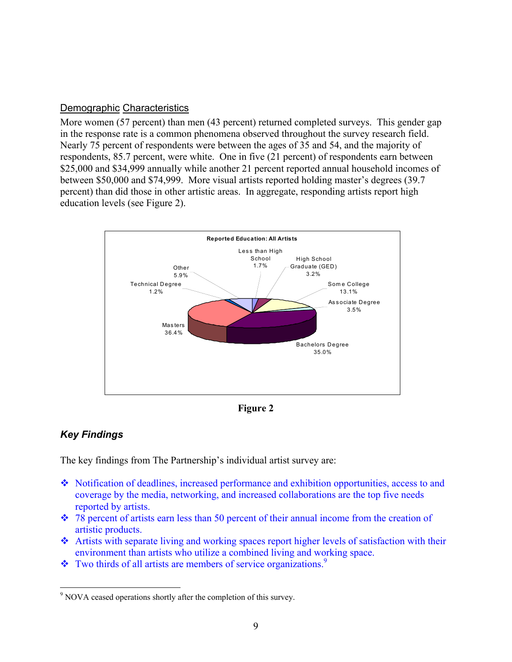#### Demographic Characteristics

More women (57 percent) than men (43 percent) returned completed surveys. This gender gap in the response rate is a common phenomena observed throughout the survey research field. Nearly 75 percent of respondents were between the ages of 35 and 54, and the majority of respondents, 85.7 percent, were white. One in five (21 percent) of respondents earn between \$25,000 and \$34,999 annually while another 21 percent reported annual household incomes of between \$50,000 and \$74,999. More visual artists reported holding master's degrees (39.7 percent) than did those in other artistic areas. In aggregate, responding artists report high education levels (see Figure 2).



**Figure 2** 

#### *Key Findings*

 $\overline{a}$ 

The key findings from The Partnership's individual artist survey are:

- Notification of deadlines, increased performance and exhibition opportunities, access to and coverage by the media, networking, and increased collaborations are the top five needs reported by artists.
- 78 percent of artists earn less than 50 percent of their annual income from the creation of artistic products.
- Artists with separate living and working spaces report higher levels of satisfaction with their environment than artists who utilize a combined living and working space.
- $\bullet$  Two thirds of all artists are members of service organizations.<sup>9</sup>

<sup>&</sup>lt;sup>9</sup> NOVA ceased operations shortly after the completion of this survey.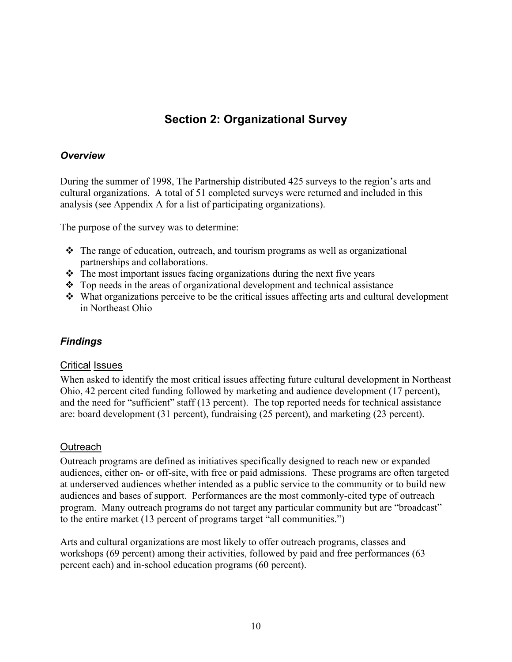# **Section 2: Organizational Survey**

#### *Overview*

During the summer of 1998, The Partnership distributed 425 surveys to the region's arts and cultural organizations. A total of 51 completed surveys were returned and included in this analysis (see Appendix A for a list of participating organizations).

The purpose of the survey was to determine:

- $\div$  The range of education, outreach, and tourism programs as well as organizational partnerships and collaborations.
- $\triangle$  The most important issues facing organizations during the next five years
- Top needs in the areas of organizational development and technical assistance
- What organizations perceive to be the critical issues affecting arts and cultural development in Northeast Ohio

#### *Findings*

#### Critical Issues

When asked to identify the most critical issues affecting future cultural development in Northeast Ohio, 42 percent cited funding followed by marketing and audience development (17 percent), and the need for "sufficient" staff (13 percent). The top reported needs for technical assistance are: board development (31 percent), fundraising (25 percent), and marketing (23 percent).

#### **Outreach**

Outreach programs are defined as initiatives specifically designed to reach new or expanded audiences, either on- or off-site, with free or paid admissions. These programs are often targeted at underserved audiences whether intended as a public service to the community or to build new audiences and bases of support. Performances are the most commonly-cited type of outreach program. Many outreach programs do not target any particular community but are "broadcast" to the entire market (13 percent of programs target "all communities.")

Arts and cultural organizations are most likely to offer outreach programs, classes and workshops (69 percent) among their activities, followed by paid and free performances (63 percent each) and in-school education programs (60 percent).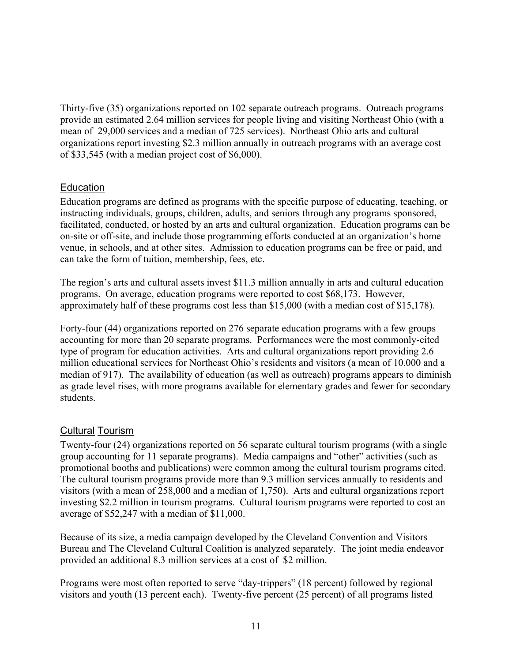Thirty-five (35) organizations reported on 102 separate outreach programs. Outreach programs provide an estimated 2.64 million services for people living and visiting Northeast Ohio (with a mean of 29,000 services and a median of 725 services). Northeast Ohio arts and cultural organizations report investing \$2.3 million annually in outreach programs with an average cost of \$33,545 (with a median project cost of \$6,000).

#### Education

Education programs are defined as programs with the specific purpose of educating, teaching, or instructing individuals, groups, children, adults, and seniors through any programs sponsored, facilitated, conducted, or hosted by an arts and cultural organization. Education programs can be on-site or off-site, and include those programming efforts conducted at an organization's home venue, in schools, and at other sites. Admission to education programs can be free or paid, and can take the form of tuition, membership, fees, etc.

The region's arts and cultural assets invest \$11.3 million annually in arts and cultural education programs. On average, education programs were reported to cost \$68,173. However, approximately half of these programs cost less than \$15,000 (with a median cost of \$15,178).

Forty-four (44) organizations reported on 276 separate education programs with a few groups accounting for more than 20 separate programs. Performances were the most commonly-cited type of program for education activities. Arts and cultural organizations report providing 2.6 million educational services for Northeast Ohio's residents and visitors (a mean of 10,000 and a median of 917). The availability of education (as well as outreach) programs appears to diminish as grade level rises, with more programs available for elementary grades and fewer for secondary students.

#### Cultural Tourism

Twenty-four (24) organizations reported on 56 separate cultural tourism programs (with a single group accounting for 11 separate programs). Media campaigns and "other" activities (such as promotional booths and publications) were common among the cultural tourism programs cited. The cultural tourism programs provide more than 9.3 million services annually to residents and visitors (with a mean of 258,000 and a median of 1,750). Arts and cultural organizations report investing \$2.2 million in tourism programs. Cultural tourism programs were reported to cost an average of \$52,247 with a median of \$11,000.

Because of its size, a media campaign developed by the Cleveland Convention and Visitors Bureau and The Cleveland Cultural Coalition is analyzed separately. The joint media endeavor provided an additional 8.3 million services at a cost of \$2 million.

Programs were most often reported to serve "day-trippers" (18 percent) followed by regional visitors and youth (13 percent each). Twenty-five percent (25 percent) of all programs listed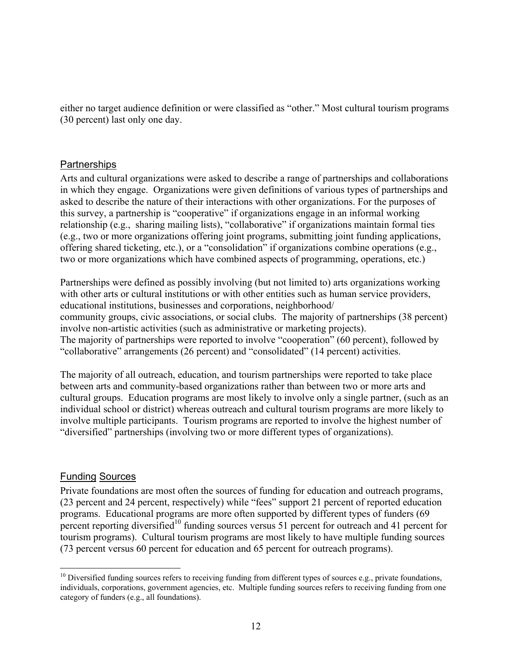either no target audience definition or were classified as "other." Most cultural tourism programs (30 percent) last only one day.

#### **Partnerships**

Arts and cultural organizations were asked to describe a range of partnerships and collaborations in which they engage. Organizations were given definitions of various types of partnerships and asked to describe the nature of their interactions with other organizations. For the purposes of this survey, a partnership is "cooperative" if organizations engage in an informal working relationship (e.g., sharing mailing lists), "collaborative" if organizations maintain formal ties (e.g., two or more organizations offering joint programs, submitting joint funding applications, offering shared ticketing, etc.), or a "consolidation" if organizations combine operations (e.g., two or more organizations which have combined aspects of programming, operations, etc.)

Partnerships were defined as possibly involving (but not limited to) arts organizations working with other arts or cultural institutions or with other entities such as human service providers, educational institutions, businesses and corporations, neighborhood/ community groups, civic associations, or social clubs. The majority of partnerships (38 percent) involve non-artistic activities (such as administrative or marketing projects). The majority of partnerships were reported to involve "cooperation" (60 percent), followed by "collaborative" arrangements (26 percent) and "consolidated" (14 percent) activities.

The majority of all outreach, education, and tourism partnerships were reported to take place between arts and community-based organizations rather than between two or more arts and cultural groups. Education programs are most likely to involve only a single partner, (such as an individual school or district) whereas outreach and cultural tourism programs are more likely to involve multiple participants. Tourism programs are reported to involve the highest number of "diversified" partnerships (involving two or more different types of organizations).

#### Funding Sources

Private foundations are most often the sources of funding for education and outreach programs, (23 percent and 24 percent, respectively) while "fees" support 21 percent of reported education programs. Educational programs are more often supported by different types of funders (69 percent reporting diversified<sup>10</sup> funding sources versus 51 percent for outreach and 41 percent for tourism programs). Cultural tourism programs are most likely to have multiple funding sources (73 percent versus 60 percent for education and 65 percent for outreach programs).

 $\overline{a}$  $10$  Diversified funding sources refers to receiving funding from different types of sources e.g., private foundations, individuals, corporations, government agencies, etc. Multiple funding sources refers to receiving funding from one category of funders (e.g., all foundations).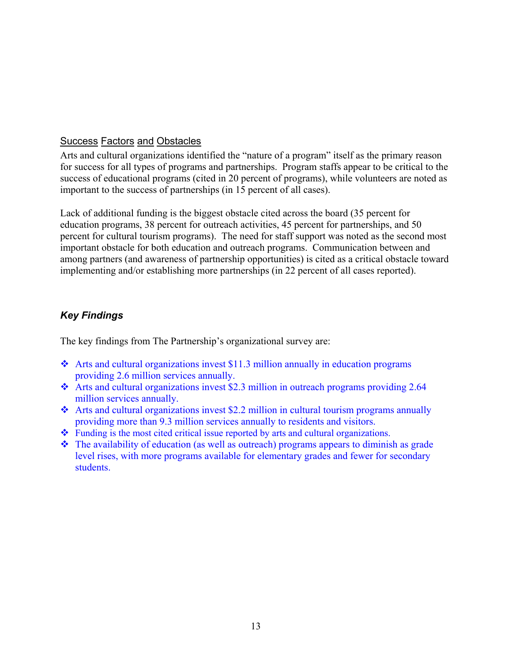#### Success Factors and Obstacles

Arts and cultural organizations identified the "nature of a program" itself as the primary reason for success for all types of programs and partnerships. Program staffs appear to be critical to the success of educational programs (cited in 20 percent of programs), while volunteers are noted as important to the success of partnerships (in 15 percent of all cases).

Lack of additional funding is the biggest obstacle cited across the board (35 percent for education programs, 38 percent for outreach activities, 45 percent for partnerships, and 50 percent for cultural tourism programs). The need for staff support was noted as the second most important obstacle for both education and outreach programs. Communication between and among partners (and awareness of partnership opportunities) is cited as a critical obstacle toward implementing and/or establishing more partnerships (in 22 percent of all cases reported).

#### *Key Findings*

The key findings from The Partnership's organizational survey are:

- $\cdot$  Arts and cultural organizations invest \$11.3 million annually in education programs providing 2.6 million services annually.
- Arts and cultural organizations invest \$2.3 million in outreach programs providing 2.64 million services annually.
- Arts and cultural organizations invest \$2.2 million in cultural tourism programs annually providing more than 9.3 million services annually to residents and visitors.
- Funding is the most cited critical issue reported by arts and cultural organizations.
- The availability of education (as well as outreach) programs appears to diminish as grade level rises, with more programs available for elementary grades and fewer for secondary students.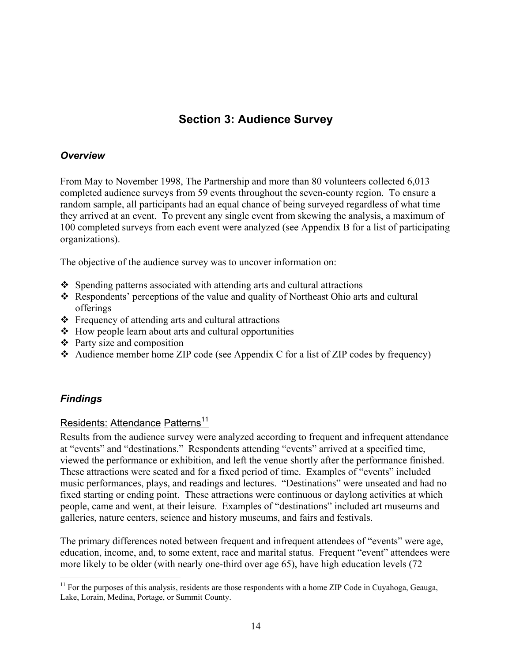# **Section 3: Audience Survey**

#### *Overview*

From May to November 1998, The Partnership and more than 80 volunteers collected 6,013 completed audience surveys from 59 events throughout the seven-county region. To ensure a random sample, all participants had an equal chance of being surveyed regardless of what time they arrived at an event. To prevent any single event from skewing the analysis, a maximum of 100 completed surveys from each event were analyzed (see Appendix B for a list of participating organizations).

The objective of the audience survey was to uncover information on:

- Spending patterns associated with attending arts and cultural attractions
- Respondents' perceptions of the value and quality of Northeast Ohio arts and cultural offerings
- $\triangle$  Frequency of attending arts and cultural attractions
- $\triangle$  How people learn about arts and cultural opportunities
- $\triangleleft$  Party size and composition
- Audience member home ZIP code (see Appendix C for a list of ZIP codes by frequency)

#### *Findings*

 $\overline{a}$ 

#### Residents: Attendance Patterns<sup>11</sup>

Results from the audience survey were analyzed according to frequent and infrequent attendance at "events" and "destinations." Respondents attending "events" arrived at a specified time, viewed the performance or exhibition, and left the venue shortly after the performance finished. These attractions were seated and for a fixed period of time. Examples of "events" included music performances, plays, and readings and lectures. "Destinations" were unseated and had no fixed starting or ending point. These attractions were continuous or daylong activities at which people, came and went, at their leisure. Examples of "destinations" included art museums and galleries, nature centers, science and history museums, and fairs and festivals.

The primary differences noted between frequent and infrequent attendees of "events" were age, education, income, and, to some extent, race and marital status. Frequent "event" attendees were more likely to be older (with nearly one-third over age 65), have high education levels (72

 $11$  For the purposes of this analysis, residents are those respondents with a home ZIP Code in Cuyahoga, Geauga, Lake, Lorain, Medina, Portage, or Summit County.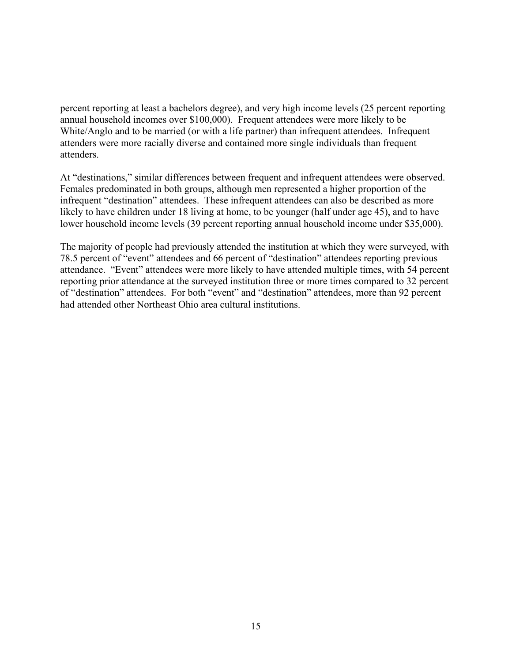percent reporting at least a bachelors degree), and very high income levels (25 percent reporting annual household incomes over \$100,000). Frequent attendees were more likely to be White/Anglo and to be married (or with a life partner) than infrequent attendees. Infrequent attenders were more racially diverse and contained more single individuals than frequent attenders.

At "destinations," similar differences between frequent and infrequent attendees were observed. Females predominated in both groups, although men represented a higher proportion of the infrequent "destination" attendees. These infrequent attendees can also be described as more likely to have children under 18 living at home, to be younger (half under age 45), and to have lower household income levels (39 percent reporting annual household income under \$35,000).

The majority of people had previously attended the institution at which they were surveyed, with 78.5 percent of "event" attendees and 66 percent of "destination" attendees reporting previous attendance. "Event" attendees were more likely to have attended multiple times, with 54 percent reporting prior attendance at the surveyed institution three or more times compared to 32 percent of "destination" attendees. For both "event" and "destination" attendees, more than 92 percent had attended other Northeast Ohio area cultural institutions.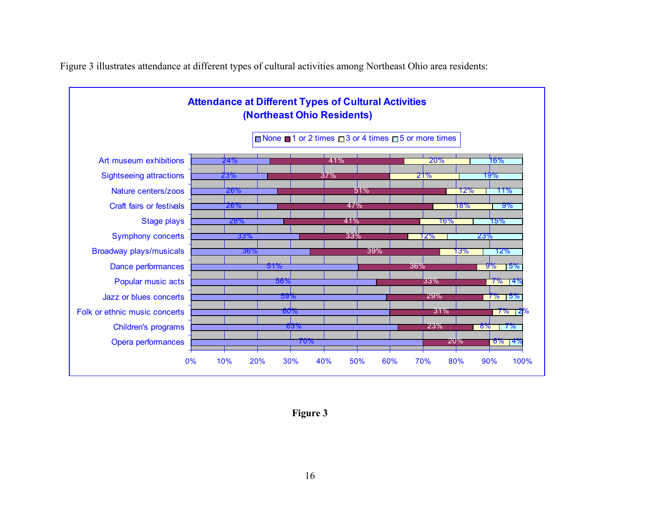

Figure 3 illustrates attendance at different types of cultural activities among Northeast Ohio area residents:

**Figure 3**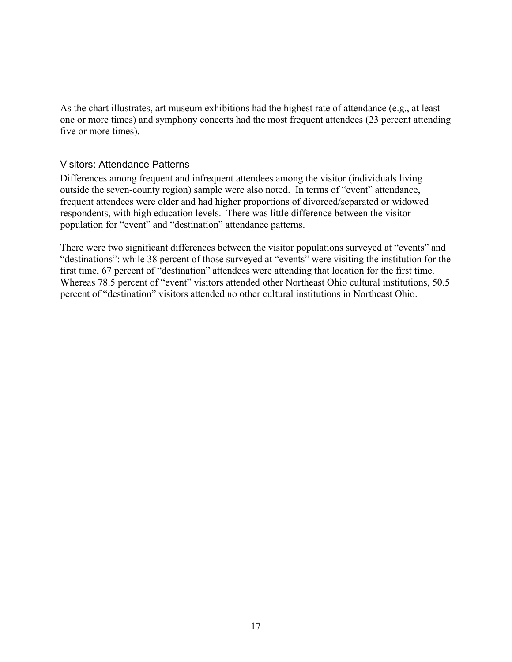As the chart illustrates, art museum exhibitions had the highest rate of attendance (e.g., at least one or more times) and symphony concerts had the most frequent attendees (23 percent attending five or more times).

#### Visitors: Attendance Patterns

Differences among frequent and infrequent attendees among the visitor (individuals living outside the seven-county region) sample were also noted. In terms of "event" attendance, frequent attendees were older and had higher proportions of divorced/separated or widowed respondents, with high education levels. There was little difference between the visitor population for "event" and "destination" attendance patterns.

There were two significant differences between the visitor populations surveyed at "events" and "destinations": while 38 percent of those surveyed at "events" were visiting the institution for the first time, 67 percent of "destination" attendees were attending that location for the first time. Whereas 78.5 percent of "event" visitors attended other Northeast Ohio cultural institutions, 50.5 percent of "destination" visitors attended no other cultural institutions in Northeast Ohio.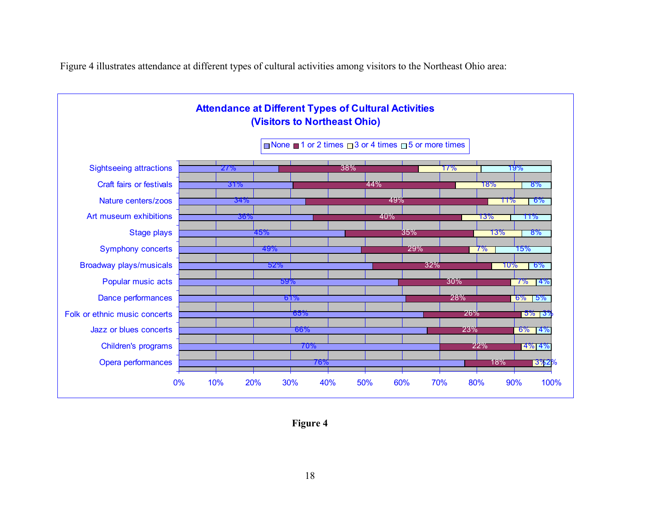Figure 4 illustrates attendance at different types of cultural activities among visitors to the Northeast Ohio area:



**Figure 4**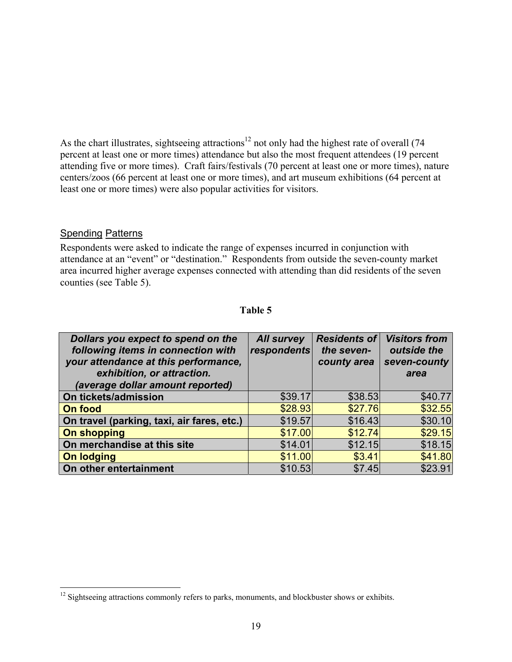As the chart illustrates, sightseeing attractions<sup>12</sup> not only had the highest rate of overall (74 percent at least one or more times) attendance but also the most frequent attendees (19 percent attending five or more times). Craft fairs/festivals (70 percent at least one or more times), nature centers/zoos (66 percent at least one or more times), and art museum exhibitions (64 percent at least one or more times) were also popular activities for visitors.

#### **Spending Patterns**

 $\overline{a}$ 

Respondents were asked to indicate the range of expenses incurred in conjunction with attendance at an "event" or "destination." Respondents from outside the seven-county market area incurred higher average expenses connected with attending than did residents of the seven counties (see Table 5).

| 16 | וח |
|----|----|
| я  | H  |

| Dollars you expect to spend on the<br>following items in connection with<br>your attendance at this performance,<br>exhibition, or attraction.<br>(average dollar amount reported) | <b>All survey</b><br>respondents | <b>Residents of</b><br>the seven-<br>county area | <b>Visitors from</b><br>outside the<br>seven-county<br>area |
|------------------------------------------------------------------------------------------------------------------------------------------------------------------------------------|----------------------------------|--------------------------------------------------|-------------------------------------------------------------|
| On tickets/admission                                                                                                                                                               | \$39.17                          | \$38.53                                          | \$40.77                                                     |
| On food                                                                                                                                                                            | \$28.93                          | \$27.76                                          | \$32.55                                                     |
| On travel (parking, taxi, air fares, etc.)                                                                                                                                         | \$19.57                          | \$16.43                                          | \$30.10                                                     |
| <b>On shopping</b>                                                                                                                                                                 | \$17.00                          | \$12.74                                          | \$29.15                                                     |
| On merchandise at this site                                                                                                                                                        | \$14.01                          | \$12.15                                          | \$18.15                                                     |
| <b>On lodging</b>                                                                                                                                                                  | \$11.00                          | \$3.41                                           | \$41.80                                                     |
| On other entertainment                                                                                                                                                             | \$10.53                          | \$7.45                                           | \$23.91                                                     |

 $12$  Sightseeing attractions commonly refers to parks, monuments, and blockbuster shows or exhibits.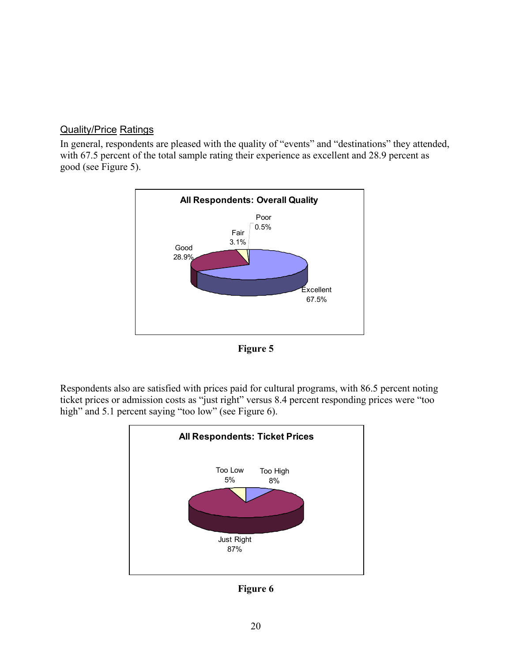#### Quality/Price Ratings

In general, respondents are pleased with the quality of "events" and "destinations" they attended, with 67.5 percent of the total sample rating their experience as excellent and 28.9 percent as good (see Figure 5).





Respondents also are satisfied with prices paid for cultural programs, with 86.5 percent noting ticket prices or admission costs as "just right" versus 8.4 percent responding prices were "too high" and 5.1 percent saying "too low" (see Figure 6).



**Figure 6**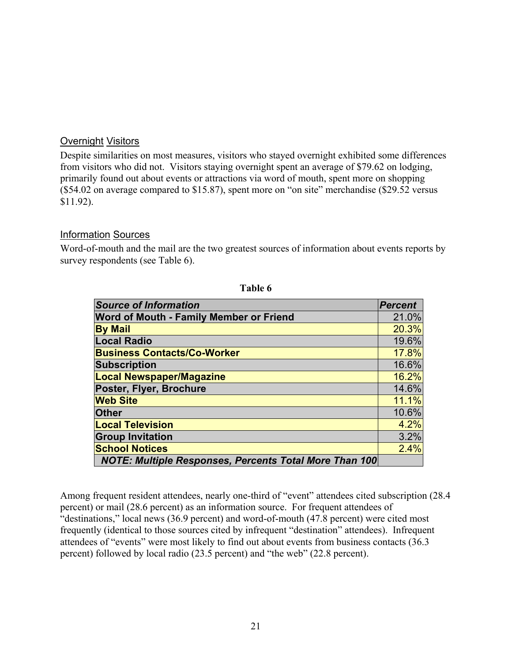#### **Overnight Visitors**

Despite similarities on most measures, visitors who stayed overnight exhibited some differences from visitors who did not. Visitors staying overnight spent an average of \$79.62 on lodging, primarily found out about events or attractions via word of mouth, spent more on shopping (\$54.02 on average compared to \$15.87), spent more on "on site" merchandise (\$29.52 versus \$11.92).

#### Information Sources

Word-of-mouth and the mail are the two greatest sources of information about events reports by survey respondents (see Table 6).

| <b>Source of Information</b>                                  | <b>Percent</b> |
|---------------------------------------------------------------|----------------|
| Word of Mouth - Family Member or Friend                       | 21.0%          |
| <b>By Mail</b>                                                | 20.3%          |
| <b>Local Radio</b>                                            | 19.6%          |
| <b>Business Contacts/Co-Worker</b>                            | 17.8%          |
| <b>Subscription</b>                                           | 16.6%          |
| <b>Local Newspaper/Magazine</b>                               | 16.2%          |
| Poster, Flyer, Brochure                                       | 14.6%          |
| <b>Web Site</b>                                               | 11.1%          |
| <b>Other</b>                                                  | 10.6%          |
| <b>Local Television</b>                                       | 4.2%           |
| <b>Group Invitation</b>                                       | 3.2%           |
| <b>School Notices</b>                                         | 2.4%           |
| <b>NOTE: Multiple Responses, Percents Total More Than 100</b> |                |

**Table 6** 

Among frequent resident attendees, nearly one-third of "event" attendees cited subscription (28.4 percent) or mail (28.6 percent) as an information source. For frequent attendees of "destinations," local news (36.9 percent) and word-of-mouth (47.8 percent) were cited most frequently (identical to those sources cited by infrequent "destination" attendees). Infrequent attendees of "events" were most likely to find out about events from business contacts (36.3 percent) followed by local radio (23.5 percent) and "the web" (22.8 percent).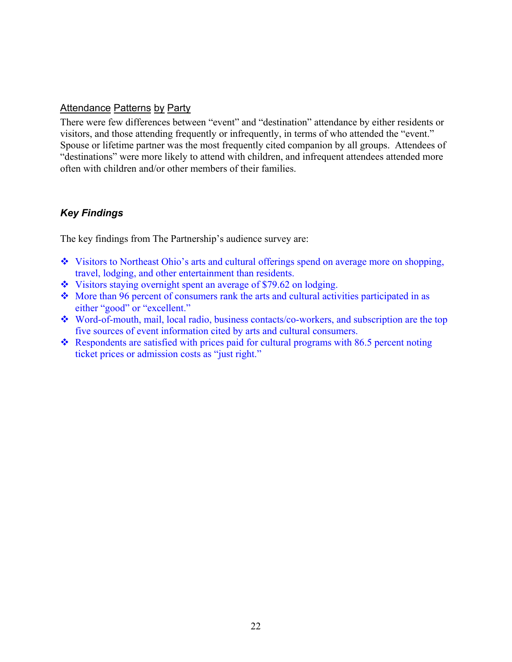#### Attendance Patterns by Party

There were few differences between "event" and "destination" attendance by either residents or visitors, and those attending frequently or infrequently, in terms of who attended the "event." Spouse or lifetime partner was the most frequently cited companion by all groups. Attendees of "destinations" were more likely to attend with children, and infrequent attendees attended more often with children and/or other members of their families.

#### *Key Findings*

The key findings from The Partnership's audience survey are:

- Visitors to Northeast Ohio's arts and cultural offerings spend on average more on shopping, travel, lodging, and other entertainment than residents.
- Visitors staying overnight spent an average of \$79.62 on lodging.
- More than 96 percent of consumers rank the arts and cultural activities participated in as either "good" or "excellent."
- Word-of-mouth, mail, local radio, business contacts/co-workers, and subscription are the top five sources of event information cited by arts and cultural consumers.
- $\cdot$  Respondents are satisfied with prices paid for cultural programs with 86.5 percent noting ticket prices or admission costs as "just right."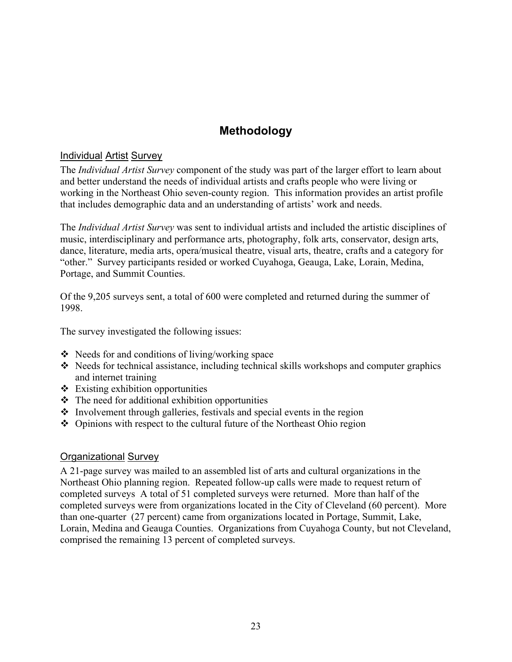# **Methodology**

#### Individual Artist Survey

The *Individual Artist Survey* component of the study was part of the larger effort to learn about and better understand the needs of individual artists and crafts people who were living or working in the Northeast Ohio seven-county region. This information provides an artist profile that includes demographic data and an understanding of artists' work and needs.

The *Individual Artist Survey* was sent to individual artists and included the artistic disciplines of music, interdisciplinary and performance arts, photography, folk arts, conservator, design arts, dance, literature, media arts, opera/musical theatre, visual arts, theatre, crafts and a category for "other." Survey participants resided or worked Cuyahoga, Geauga, Lake, Lorain, Medina, Portage, and Summit Counties.

Of the 9,205 surveys sent, a total of 600 were completed and returned during the summer of 1998.

The survey investigated the following issues:

- Needs for and conditions of living/working space
- $\triangle$  Needs for technical assistance, including technical skills workshops and computer graphics and internet training
- $\triangleleft$  Existing exhibition opportunities
- $\triangle$  The need for additional exhibition opportunities
- $\cdot$  Involvement through galleries, festivals and special events in the region
- $\triangle$  Opinions with respect to the cultural future of the Northeast Ohio region

#### Organizational Survey

A 21-page survey was mailed to an assembled list of arts and cultural organizations in the Northeast Ohio planning region. Repeated follow-up calls were made to request return of completed surveys A total of 51 completed surveys were returned. More than half of the completed surveys were from organizations located in the City of Cleveland (60 percent). More than one-quarter (27 percent) came from organizations located in Portage, Summit, Lake, Lorain, Medina and Geauga Counties. Organizations from Cuyahoga County, but not Cleveland, comprised the remaining 13 percent of completed surveys.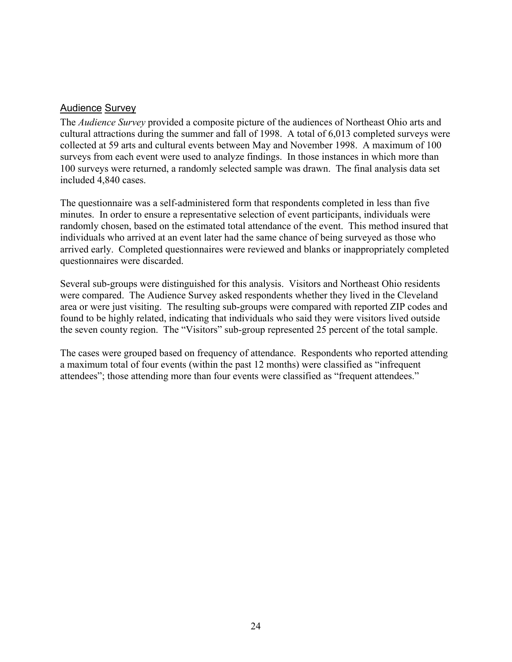#### Audience Survey

The *Audience Survey* provided a composite picture of the audiences of Northeast Ohio arts and cultural attractions during the summer and fall of 1998. A total of 6,013 completed surveys were collected at 59 arts and cultural events between May and November 1998. A maximum of 100 surveys from each event were used to analyze findings. In those instances in which more than 100 surveys were returned, a randomly selected sample was drawn. The final analysis data set included 4,840 cases.

The questionnaire was a self-administered form that respondents completed in less than five minutes. In order to ensure a representative selection of event participants, individuals were randomly chosen, based on the estimated total attendance of the event. This method insured that individuals who arrived at an event later had the same chance of being surveyed as those who arrived early. Completed questionnaires were reviewed and blanks or inappropriately completed questionnaires were discarded.

Several sub-groups were distinguished for this analysis. Visitors and Northeast Ohio residents were compared. The Audience Survey asked respondents whether they lived in the Cleveland area or were just visiting. The resulting sub-groups were compared with reported ZIP codes and found to be highly related, indicating that individuals who said they were visitors lived outside the seven county region. The "Visitors" sub-group represented 25 percent of the total sample.

The cases were grouped based on frequency of attendance. Respondents who reported attending a maximum total of four events (within the past 12 months) were classified as "infrequent attendees"; those attending more than four events were classified as "frequent attendees."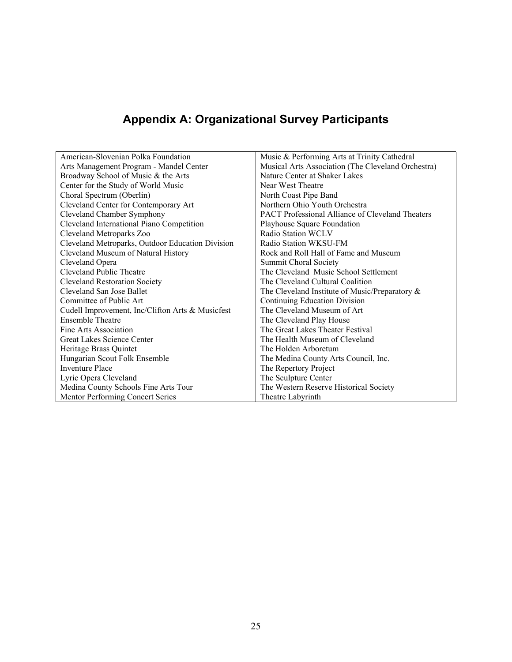# **Appendix A: Organizational Survey Participants**

| American-Slovenian Polka Foundation              | Music & Performing Arts at Trinity Cathedral            |
|--------------------------------------------------|---------------------------------------------------------|
| Arts Management Program - Mandel Center          | Musical Arts Association (The Cleveland Orchestra)      |
| Broadway School of Music & the Arts              | Nature Center at Shaker Lakes                           |
| Center for the Study of World Music              | Near West Theatre                                       |
| Choral Spectrum (Oberlin)                        | North Coast Pipe Band                                   |
| Cleveland Center for Contemporary Art            | Northern Ohio Youth Orchestra                           |
| Cleveland Chamber Symphony                       | <b>PACT</b> Professional Alliance of Cleveland Theaters |
| Cleveland International Piano Competition        | Playhouse Square Foundation                             |
| Cleveland Metroparks Zoo                         | Radio Station WCLV                                      |
| Cleveland Metroparks, Outdoor Education Division | Radio Station WKSU-FM                                   |
| Cleveland Museum of Natural History              | Rock and Roll Hall of Fame and Museum                   |
| Cleveland Opera                                  | <b>Summit Choral Society</b>                            |
| Cleveland Public Theatre                         | The Cleveland Music School Settlement                   |
| <b>Cleveland Restoration Society</b>             | The Cleveland Cultural Coalition                        |
| Cleveland San Jose Ballet                        | The Cleveland Institute of Music/Preparatory $\&$       |
| Committee of Public Art                          | Continuing Education Division                           |
| Cudell Improvement, Inc/Clifton Arts & Musicfest | The Cleveland Museum of Art                             |
| <b>Ensemble Theatre</b>                          | The Cleveland Play House                                |
| Fine Arts Association                            | The Great Lakes Theater Festival                        |
| Great Lakes Science Center                       | The Health Museum of Cleveland                          |
| Heritage Brass Quintet                           | The Holden Arboretum                                    |
| Hungarian Scout Folk Ensemble                    | The Medina County Arts Council, Inc.                    |
| Inventure Place                                  | The Repertory Project                                   |
| Lyric Opera Cleveland                            | The Sculpture Center                                    |
| Medina County Schools Fine Arts Tour             | The Western Reserve Historical Society                  |
| Mentor Performing Concert Series                 | Theatre Labyrinth                                       |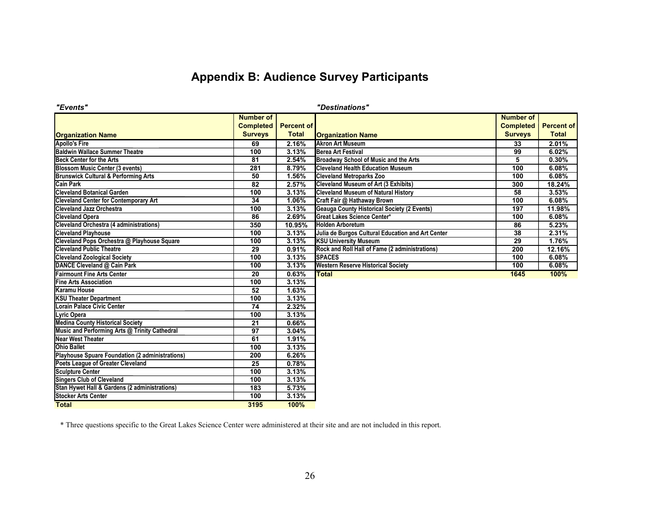# **Appendix B: Audience Survey Participants**

| "Events"                                        |                  |                   | "Destinations"                                     |                  |                   |
|-------------------------------------------------|------------------|-------------------|----------------------------------------------------|------------------|-------------------|
|                                                 | <b>Number of</b> |                   |                                                    | <b>Number of</b> |                   |
|                                                 | <b>Completed</b> | <b>Percent of</b> |                                                    | <b>Completed</b> | <b>Percent of</b> |
| <b>Organization Name</b>                        | <b>Surveys</b>   | <b>Total</b>      | <b>Organization Name</b>                           | <b>Surveys</b>   | <b>Total</b>      |
| <b>Apollo's Fire</b>                            | 69               | 2.16%             | <b>Akron Art Museum</b>                            | 33               | 2.01%             |
| <b>Baldwin Wallace Summer Theatre</b>           | 100              | 3.13%             | <b>Berea Art Festival</b>                          | 99               | 6.02%             |
| <b>Beck Center for the Arts</b>                 | 81               | 2.54%             | Broadway School of Music and the Arts              | 5                | 0.30%             |
| <b>Blossom Music Center (3 events)</b>          | 281              | 8.79%             | <b>Cleveland Health Education Museum</b>           | 100              | 6.08%             |
| <b>Brunswick Cultural &amp; Performing Arts</b> | 50               | 1.56%             | <b>Cleveland Metroparks Zoo</b>                    | 100              | 6.08%             |
| <b>Cain Park</b>                                | 82               | 2.57%             | <b>Cleveland Museum of Art (3 Exhibits)</b>        | 300              | 18.24%            |
| <b>Cleveland Botanical Garden</b>               | 100              | 3.13%             | <b>Cleveland Museum of Natural History</b>         | 58               | 3.53%             |
| <b>Cleveland Center for Contemporary Art</b>    | 34               | 1.06%             | Craft Fair @ Hathaway Brown                        | 100              | 6.08%             |
| <b>Cleveland Jazz Orchestra</b>                 | 100              | 3.13%             | <b>Geauga County Historical Society (2 Events)</b> | 197              | 11.98%            |
| <b>Cleveland Opera</b>                          | 86               | 2.69%             | Great Lakes Science Center*                        | 100              | 6.08%             |
| <b>Cleveland Orchestra (4 administrations)</b>  | 350              | 10.95%            | <b>Holden Arboretum</b>                            | 86               | 5.23%             |
| <b>Cleveland Playhouse</b>                      | 100              | 3.13%             | Julia de Burgos Cultural Education and Art Center  | 38               | 2.31%             |
| Cleveland Pops Orchestra @ Playhouse Square     | 100              | 3.13%             | <b>KSU University Museum</b>                       | 29               | 1.76%             |
| <b>Cleveland Public Theatre</b>                 | 29               | 0.91%             | Rock and Roll Hall of Fame (2 administrations)     | 200              | 12.16%            |
| <b>Cleveland Zoological Society</b>             | 100              | 3.13%             | <b>SPACES</b>                                      | 100              | 6.08%             |
| DANCE Cleveland @ Cain Park                     | 100              | 3.13%             | <b>Western Reserve Historical Society</b>          | 100              | 6.08%             |
| <b>Fairmount Fine Arts Center</b>               | 20               | 0.63%             | <b>Total</b>                                       | 1645             | 100%              |
| <b>Fine Arts Association</b>                    | 100              | 3.13%             |                                                    |                  |                   |
| <b>Karamu House</b>                             | 52               | 1.63%             |                                                    |                  |                   |
| <b>KSU Theater Department</b>                   | 100              | 3.13%             |                                                    |                  |                   |
| <b>Lorain Palace Civic Center</b>               | 74               | 2.32%             |                                                    |                  |                   |
| Lyric Opera                                     | 100              | 3.13%             |                                                    |                  |                   |
| <b>Medina County Historical Society</b>         | $\overline{21}$  | 0.66%             |                                                    |                  |                   |
| Music and Performing Arts @ Trinity Cathedral   | $\overline{97}$  | 3.04%             |                                                    |                  |                   |
| <b>Near West Theater</b>                        | 61               | 1.91%             |                                                    |                  |                   |
| <b>Ohio Ballet</b>                              | 100              | 3.13%             |                                                    |                  |                   |
| Playhouse Spuare Foundation (2 administrations) | 200              | 6.26%             |                                                    |                  |                   |
| Poets League of Greater Cleveland               | $\overline{25}$  | 0.78%             |                                                    |                  |                   |
| <b>Sculpture Center</b>                         | 100              | 3.13%             |                                                    |                  |                   |
| <b>Singers Club of Cleveland</b>                | 100              | 3.13%             |                                                    |                  |                   |
| Stan Hywet Hall & Gardens (2 administrations)   | 183              | 5.73%             |                                                    |                  |                   |
| <b>Stocker Arts Center</b>                      | 100              | 3.13%             |                                                    |                  |                   |
| <b>Total</b>                                    | 3195             | 100%              |                                                    |                  |                   |

\* Three questions specific to the Great Lakes Science Center were administered at their site and are not included in this report.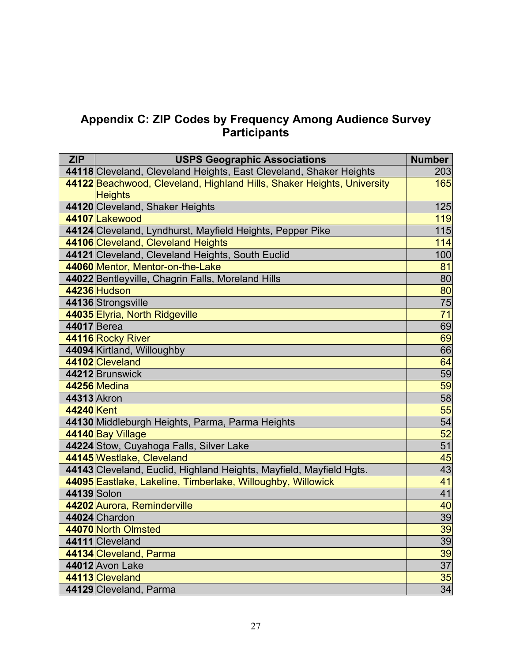### **Appendix C: ZIP Codes by Frequency Among Audience Survey Participants**

| <b>ZIP</b>  | <b>USPS Geographic Associations</b>                                    | <b>Number</b>   |
|-------------|------------------------------------------------------------------------|-----------------|
|             | 44118 Cleveland, Cleveland Heights, East Cleveland, Shaker Heights     | 203             |
|             | 44122 Beachwood, Cleveland, Highland Hills, Shaker Heights, University | 165             |
|             | <b>Heights</b>                                                         |                 |
|             | 44120 Cleveland, Shaker Heights                                        | 125             |
|             | 44107 Lakewood                                                         | 119             |
|             | 44124 Cleveland, Lyndhurst, Mayfield Heights, Pepper Pike              | 115             |
|             | 44106 Cleveland, Cleveland Heights                                     | 114             |
|             | 44121 Cleveland, Cleveland Heights, South Euclid                       | 100             |
|             | 44060 Mentor, Mentor-on-the-Lake                                       | 81              |
|             | 44022 Bentleyville, Chagrin Falls, Moreland Hills                      | 80              |
|             | 44236 Hudson                                                           | 80              |
|             | 44136 Strongsville                                                     | $\overline{75}$ |
|             | 44035 Elyria, North Ridgeville                                         | $\overline{71}$ |
| 44017 Berea |                                                                        | 69              |
|             | 44116 Rocky River                                                      | 69              |
|             | 44094 Kirtland, Willoughby                                             | 66              |
|             | 44102 Cleveland                                                        | 64              |
|             | 44212 Brunswick                                                        | 59              |
|             | 44256 Medina                                                           | 59              |
| 44313 Akron |                                                                        | 58              |
| 44240 Kent  |                                                                        | 55              |
|             | 44130 Middleburgh Heights, Parma, Parma Heights                        | 54              |
|             | 44140 Bay Village                                                      | 52              |
|             | 44224 Stow, Cuyahoga Falls, Silver Lake                                | 51              |
|             | 44145 Westlake, Cleveland                                              | 45              |
|             | 44143 Cleveland, Euclid, Highland Heights, Mayfield, Mayfield Hgts.    | 43              |
|             | 44095 Eastlake, Lakeline, Timberlake, Willoughby, Willowick            | 41              |
| 44139 Solon |                                                                        | 41              |
|             | 44202 Aurora, Reminderville                                            | 40              |
|             | 44024 Chardon                                                          | 39              |
|             | 44070 North Olmsted                                                    | 39              |
|             | 44111 Cleveland                                                        | 39              |
|             | 44134 Cleveland, Parma                                                 | 39              |
|             | 44012 Avon Lake                                                        | $\overline{37}$ |
|             | 44113 Cleveland                                                        | 35              |
|             | 44129 Cleveland, Parma                                                 | $\overline{34}$ |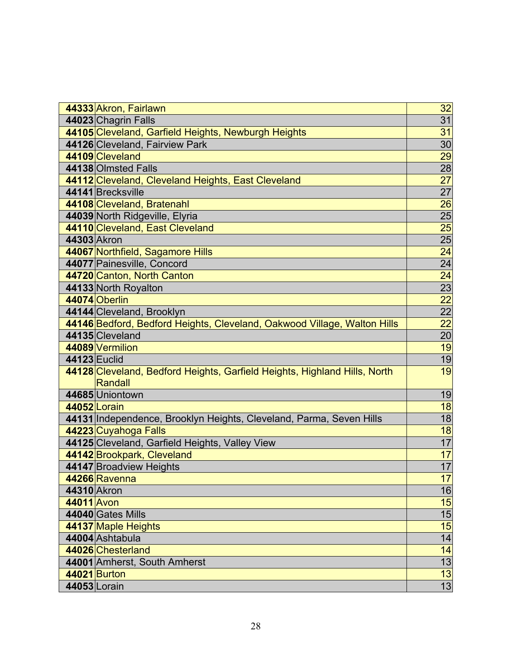| 44333 Akron, Fairlawn                                                                | 32              |
|--------------------------------------------------------------------------------------|-----------------|
| 44023 Chagrin Falls                                                                  | 31              |
| 44105 Cleveland, Garfield Heights, Newburgh Heights                                  | 31              |
| 44126 Cleveland, Fairview Park                                                       | $\overline{30}$ |
| 44109 Cleveland                                                                      | 29              |
| 44138 Olmsted Falls                                                                  | 28              |
| 44112 Cleveland, Cleveland Heights, East Cleveland                                   | 27              |
| 44141 Brecksville                                                                    | $\overline{27}$ |
| 44108 Cleveland, Bratenahl                                                           | 26              |
| 44039 North Ridgeville, Elyria                                                       | $\overline{25}$ |
| 44110 Cleveland, East Cleveland                                                      | 25              |
| 44303 Akron                                                                          | $\overline{25}$ |
| 44067 Northfield, Sagamore Hills                                                     | 24              |
| 44077 Painesville, Concord                                                           | $\frac{24}{24}$ |
| 44720 Canton, North Canton                                                           |                 |
| 44133 North Royalton                                                                 | $\overline{23}$ |
| 44074 Oberlin                                                                        | $\overline{22}$ |
| 44144 Cleveland, Brooklyn                                                            | $\overline{22}$ |
| 44146 Bedford, Bedford Heights, Cleveland, Oakwood Village, Walton Hills             | $\overline{22}$ |
| 44135 Cleveland                                                                      | 20              |
| 44089 Vermilion                                                                      | 19              |
| 44123 Euclid                                                                         | 19              |
| 44128 Cleveland, Bedford Heights, Garfield Heights, Highland Hills, North<br>Randall | 19              |
| 44685 Uniontown                                                                      | 19              |
| 44052 Lorain                                                                         | 18              |
| 44131 Independence, Brooklyn Heights, Cleveland, Parma, Seven Hills                  | 18              |
| 44223 Cuyahoga Falls                                                                 | 18              |
| 44125 Cleveland, Garfield Heights, Valley View                                       | 17              |
| 44142 Brookpark, Cleveland                                                           | 17              |
| 44147 Broadview Heights                                                              | 17              |
| 44266 Ravenna                                                                        | 17              |
| 44310 Akron                                                                          | 16              |
| 44011 Avon                                                                           | 15              |
| 44040 Gates Mills                                                                    | 15              |
| 44137 Maple Heights                                                                  | 15              |
| 44004 Ashtabula                                                                      | 14              |
| 44026 Chesterland                                                                    | 14              |
| 44001 Amherst, South Amherst                                                         | 13              |
| 44021 Burton                                                                         | 13              |
| 44053 Lorain                                                                         | $\overline{13}$ |